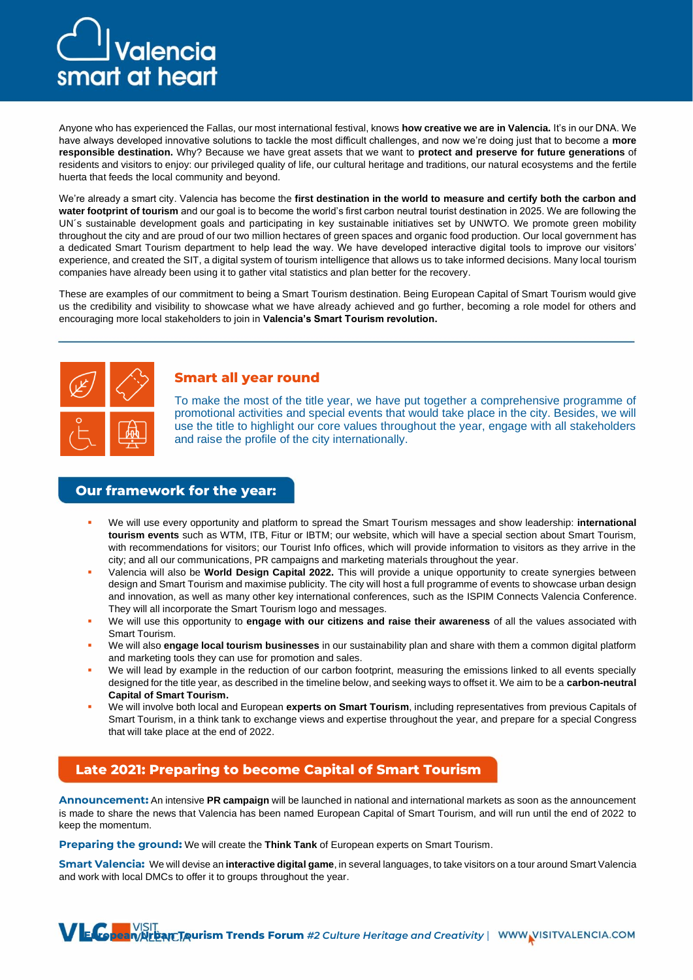# Valencia smart at heart

Anyone who has experienced the Fallas, our most international festival, knows **how creative we are in Valencia.** It's in our DNA. We have always developed innovative solutions to tackle the most difficult challenges, and now we're doing just that to become a **more responsible destination.** Why? Because we have great assets that we want to **protect and preserve for future generations** of residents and visitors to enjoy: our privileged quality of life, our cultural heritage and traditions, our natural ecosystems and the fertile huerta that feeds the local community and beyond.

We're already a smart city. Valencia has become the **first destination in the world to measure and certify both the carbon and water footprint of tourism** and our goal is to become the world's first carbon neutral tourist destination in 2025. We are following the UN´s sustainable development goals and participating in key sustainable initiatives set by UNWTO. We promote green mobility throughout the city and are proud of our two million hectares of green spaces and organic food production. Our local government has a dedicated Smart Tourism department to help lead the way. We have developed interactive digital tools to improve our visitors' experience, and created the SIT, a digital system of tourism intelligence that allows us to take informed decisions. Many local tourism companies have already been using it to gather vital statistics and plan better for the recovery.

These are examples of our commitment to being a Smart Tourism destination. Being European Capital of Smart Tourism would give us the credibility and visibility to showcase what we have already achieved and go further, becoming a role model for others and encouraging more local stakeholders to join in **Valencia's Smart Tourism revolution.**



# **Smart all year round**

To make the most of the title year, we have put together a comprehensive programme of promotional activities and special events that would take place in the city. Besides, we will use the title to highlight our core values throughout the year, engage with all stakeholders and raise the profile of the city internationally.

## **Our framework for the year:**

- We will use every opportunity and platform to spread the Smart Tourism messages and show leadership: **international tourism events** such as WTM, ITB, Fitur or IBTM; our website, which will have a special section about Smart Tourism, with recommendations for visitors; our Tourist Info offices, which will provide information to visitors as they arrive in the city; and all our communications, PR campaigns and marketing materials throughout the year.
- Valencia will also be **World Design Capital 2022.** This will provide a unique opportunity to create synergies between design and Smart Tourism and maximise publicity. The city will host a full programme of events to showcase urban design and innovation, as well as many other key international conferences, such as the ISPIM Connects Valencia Conference. They will all incorporate the Smart Tourism logo and messages.
- We will use this opportunity to *engage with our citizens and raise their awareness* of all the values associated with Smart Tourism.
- We will also **engage local tourism businesses** in our sustainability plan and share with them a common digital platform and marketing tools they can use for promotion and sales.
- We will lead by example in the reduction of our carbon footprint, measuring the emissions linked to all events specially designed for the title year, as described in the timeline below, and seeking ways to offset it. We aim to be a **carbon-neutral Capital of Smart Tourism.**
- We will involve both local and European experts on Smart Tourism, including representatives from previous Capitals of Smart Tourism, in a think tank to exchange views and expertise throughout the year, and prepare for a special Congress that will take place at the end of 2022.

# **Late 2021: Preparing to become Capital of Smart Tourism**

**Announcement:** An intensive **PR campaign** will be launched in national and international markets as soon as the announcement is made to share the news that Valencia has been named European Capital of Smart Tourism, and will run until the end of 2022 to keep the momentum.

**Preparing the ground:** We will create the **Think Tank** of European experts on Smart Tourism.

**Smart Valencia:** We will devise an **interactive digital game**, in several languages, to take visitors on a tour around Smart Valencia and work with local DMCs to offer it to groups throughout the year.